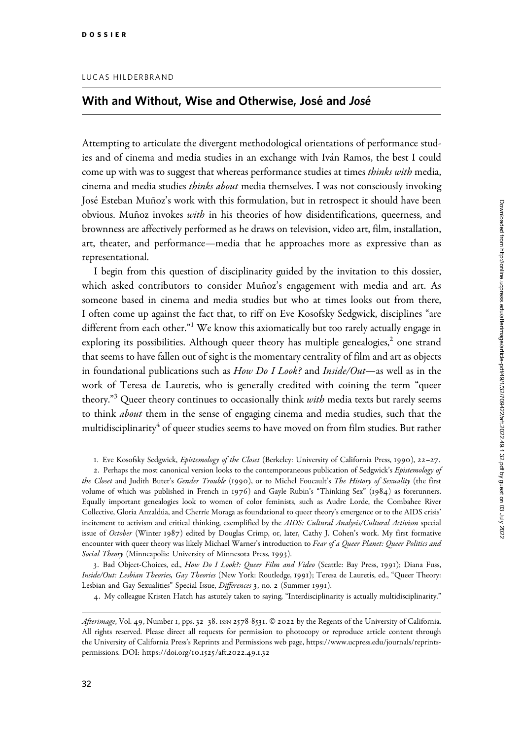## With and Without, Wise and Otherwise, José and José

Attempting to articulate the divergent methodological orientations of performance studies and of cinema and media studies in an exchange with Iván Ramos, the best I could come up with was to suggest that whereas performance studies at times *thinks with* media, cinema and media studies thinks about media themselves. I was not consciously invoking José Esteban Muñoz's work with this formulation, but in retrospect it should have been obvious. Muñoz invokes *with* in his theories of how disidentifications, queerness, and brownness are affectively performed as he draws on television, video art, film, installation, art, theater, and performance—media that he approaches more as expressive than as representational.

I begin from this question of disciplinarity guided by the invitation to this dossier, which asked contributors to consider Muñoz's engagement with media and art. As someone based in cinema and media studies but who at times looks out from there, I often come up against the fact that, to riff on Eve Kosofsky Sedgwick, disciplines "are different from each other." $1$  We know this axiomatically but too rarely actually engage in exploring its possibilities. Although queer theory has multiple genealogies, $\lambda$  one strand that seems to have fallen out of sight is the momentary centrality of film and art as objects in foundational publications such as How Do I Look? and Inside/Out—as well as in the work of Teresa de Lauretis, who is generally credited with coining the term "queer theory."<sup>3</sup> Queer theory continues to occasionally think *with* media texts but rarely seems to think *about* them in the sense of engaging cinema and media studies, such that the multidisciplinarity<sup>4</sup> of queer studies seems to have moved on from film studies. But rather

1. Eve Kosofsky Sedgwick, Epistemology of the Closet (Berkeley: University of California Press, 1990), 22–27.

2. Perhaps the most canonical version looks to the contemporaneous publication of Sedgwick's Epistemology of the Closet and Judith Buter's Gender Trouble (1990), or to Michel Foucault's The History of Sexuality (the first volume of which was published in French in 1976) and Gayle Rubin's "Thinking Sex" (1984) as forerunners. Equally important genealogies look to women of color feminists, such as Audre Lorde, the Combahee River Collective, Gloria Anzaldu´a, and Cherrı´e Moraga as foundational to queer theory's emergence or to the AIDS crisis' incitement to activism and critical thinking, exemplified by the AIDS: Cultural Analysis/Cultural Activism special issue of October (Winter 1987) edited by Douglas Crimp, or, later, Cathy J. Cohen's work. My first formative encounter with queer theory was likely Michael Warner's introduction to Fear of a Queer Planet: Queer Politics and Social Theory (Minneapolis: University of Minnesota Press, 1993).

3. Bad Object-Choices, ed., How Do I Look?: Queer Film and Video (Seattle: Bay Press, 1991); Diana Fuss, Inside/Out: Lesbian Theories, Gay Theories (New York: Routledge, 1991); Teresa de Lauretis, ed., "Queer Theory: Lesbian and Gay Sexualities" Special Issue, Differences 3, no. 2 (Summer 1991).

4. My colleague Kristen Hatch has astutely taken to saying, "Interdisciplinarity is actually multidisciplinarity."

Afterimage, Vol. 49, Number 1, pps. 32-38. ISSN 2578-8531. © 2022 by the Regents of the University of California. All rights reserved. Please direct all requests for permission to photocopy or reproduce article content through the University of California Press's Reprints and Permissions web page, [https://www.ucpress.edu/journals/reprints](https://www.ucpress.edu/journals/reprints-permissions)[permissions.](https://www.ucpress.edu/journals/reprints-permissions) [DOI: https://doi.org/](https://doi.org/10.1525/aft.2022.49.1.32)10.1525/aft.2022.49.1.32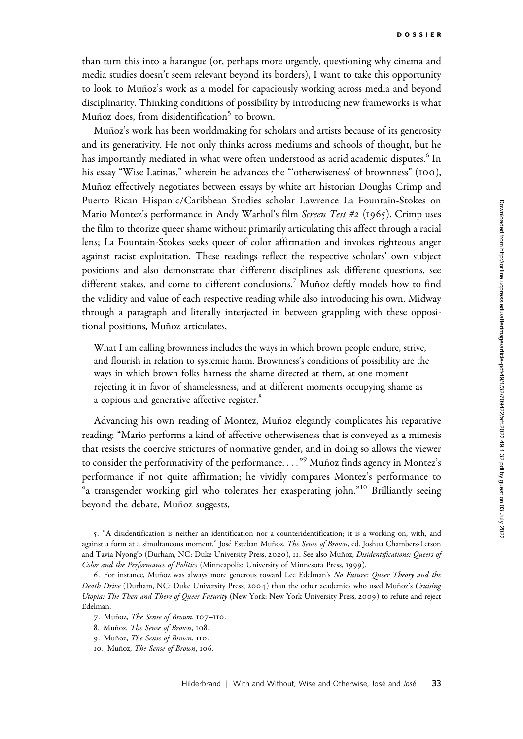than turn this into a harangue (or, perhaps more urgently, questioning why cinema and media studies doesn't seem relevant beyond its borders), I want to take this opportunity to look to Muñoz's work as a model for capaciously working across media and beyond disciplinarity. Thinking conditions of possibility by introducing new frameworks is what Muñoz does, from disidentification<sup>5</sup> to brown.

Muñoz's work has been worldmaking for scholars and artists because of its generosity and its generativity. He not only thinks across mediums and schools of thought, but he has importantly mediated in what were often understood as acrid academic disputes.<sup>6</sup> In his essay "Wise Latinas," wherein he advances the "'otherwiseness' of brownness" (100), Muñoz effectively negotiates between essays by white art historian Douglas Crimp and Puerto Rican Hispanic/Caribbean Studies scholar Lawrence La Fountain-Stokes on Mario Montez's performance in Andy Warhol's film Screen Test #2 (1965). Crimp uses the film to theorize queer shame without primarily articulating this affect through a racial lens; La Fountain-Stokes seeks queer of color affirmation and invokes righteous anger against racist exploitation. These readings reflect the respective scholars' own subject positions and also demonstrate that different disciplines ask different questions, see different stakes, and come to different conclusions.<sup>7</sup> Muñoz deftly models how to find the validity and value of each respective reading while also introducing his own. Midway through a paragraph and literally interjected in between grappling with these oppositional positions, Muñoz articulates,

What I am calling brownness includes the ways in which brown people endure, strive, and flourish in relation to systemic harm. Brownness's conditions of possibility are the ways in which brown folks harness the shame directed at them, at one moment rejecting it in favor of shamelessness, and at different moments occupying shame as a copious and generative affective register.<sup>8</sup>

Advancing his own reading of Montez, Muñoz elegantly complicates his reparative reading: "Mario performs a kind of affective otherwiseness that is conveyed as a mimesis that resists the coercive strictures of normative gender, and in doing so allows the viewer to consider the performativity of the performance. . . . "<sup>9</sup> Muñoz finds agency in Montez's performance if not quite affirmation; he vividly compares Montez's performance to "a transgender working girl who tolerates her exasperating john."<sup>10</sup> Brilliantly seeing beyond the debate, Muñoz suggests,

5. "A disidentification is neither an identification nor a counteridentification; it is a working on, with, and against a form at a simultaneous moment." José Esteban Muñoz, The Sense of Brown, ed. Joshua Chambers-Letson and Tavia Nyong'o (Durham, NC: Duke University Press, 2020), 11. See also Muñoz, Disidentifications: Oueers of Color and the Performance of Politics (Minneapolis: University of Minnesota Press, 1999).

<sup>6.</sup> For instance, Muñoz was always more generous toward Lee Edelman's No Future: Queer Theory and the Death Drive (Durham, NC: Duke University Press, 2004) than the other academics who used Muñoz's Cruising Utopia: The Then and There of Queer Futurity (New York: New York University Press, 2009) to refute and reject Edelman.

<sup>7.</sup> Muñoz, The Sense of Brown, 107-110.

<sup>8.</sup> Muñoz, The Sense of Brown, 108.

<sup>9.</sup> Muñoz, The Sense of Brown, 110.

<sup>10.</sup> Muñoz, The Sense of Brown, 106.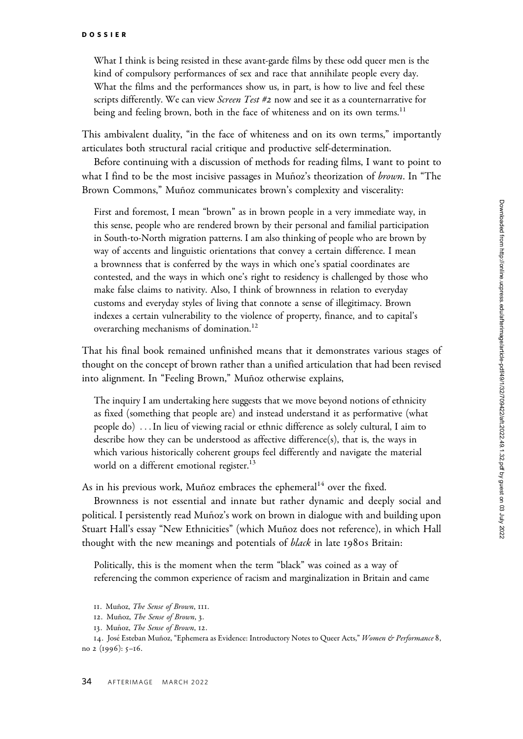What I think is being resisted in these avant-garde films by these odd queer men is the kind of compulsory performances of sex and race that annihilate people every day. What the films and the performances show us, in part, is how to live and feel these scripts differently. We can view Screen Test #2 now and see it as a counternarrative for being and feeling brown, both in the face of whiteness and on its own terms.<sup>11</sup>

This ambivalent duality, "in the face of whiteness and on its own terms," importantly articulates both structural racial critique and productive self-determination.

Before continuing with a discussion of methods for reading films, I want to point to what I find to be the most incisive passages in Muñoz's theorization of *brown*. In "The Brown Commons," Muñoz communicates brown's complexity and viscerality:

First and foremost, I mean "brown" as in brown people in a very immediate way, in this sense, people who are rendered brown by their personal and familial participation in South-to-North migration patterns. I am also thinking of people who are brown by way of accents and linguistic orientations that convey a certain difference. I mean a brownness that is conferred by the ways in which one's spatial coordinates are contested, and the ways in which one's right to residency is challenged by those who make false claims to nativity. Also, I think of brownness in relation to everyday customs and everyday styles of living that connote a sense of illegitimacy. Brown indexes a certain vulnerability to the violence of property, finance, and to capital's overarching mechanisms of domination.<sup>12</sup>

That his final book remained unfinished means that it demonstrates various stages of thought on the concept of brown rather than a unified articulation that had been revised into alignment. In "Feeling Brown," Muñoz otherwise explains,

The inquiry I am undertaking here suggests that we move beyond notions of ethnicity as fixed (something that people are) and instead understand it as performative (what people do) ...In lieu of viewing racial or ethnic difference as solely cultural, I aim to describe how they can be understood as affective difference(s), that is, the ways in which various historically coherent groups feel differently and navigate the material world on a different emotional register.<sup>13</sup>

As in his previous work, Muñoz embraces the ephemeral<sup>14</sup> over the fixed.

Brownness is not essential and innate but rather dynamic and deeply social and political. I persistently read Muñoz's work on brown in dialogue with and building upon Stuart Hall's essay "New Ethnicities" (which Muñoz does not reference), in which Hall thought with the new meanings and potentials of *black* in late 1980s Britain:

Politically, this is the moment when the term "black" was coined as a way of referencing the common experience of racism and marginalization in Britain and came

14. José Esteban Muñoz, "Ephemera as Evidence: Introductory Notes to Queer Acts," Women & Performance 8, no 2 (1996): 5–16.

<sup>11.</sup> Muñoz, The Sense of Brown, 111.

<sup>12.</sup> Muñoz, The Sense of Brown, 3.

<sup>13.</sup> Muñoz, The Sense of Brown, 12.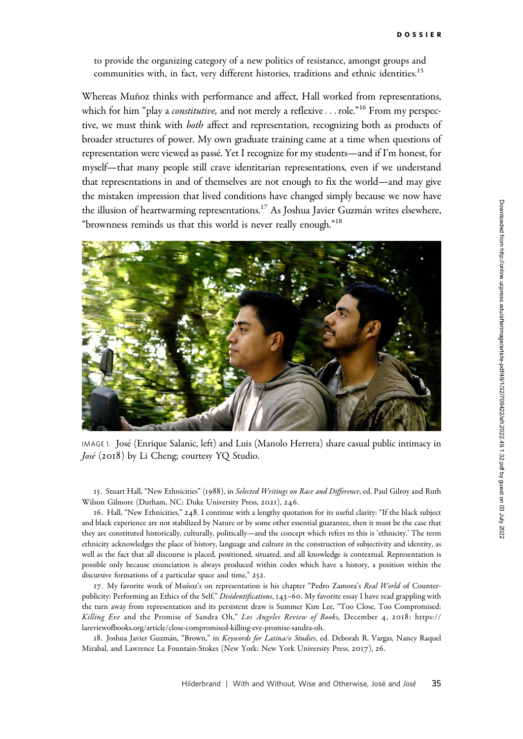to provide the organizing category of a new politics of resistance, amongst groups and communities with, in fact, very different histories, traditions and ethnic identities.<sup>15</sup>

Whereas Muñoz thinks with performance and affect, Hall worked from representations, which for him "play a *constitutive*, and not merely a reflexive...role."<sup>16</sup> From my perspective, we must think with both affect and representation, recognizing both as products of broader structures of power. My own graduate training came at a time when questions of representation were viewed as passé. Yet I recognize for my students—and if I'm honest, for myself—that many people still crave identitarian representations, even if we understand that representations in and of themselves are not enough to fix the world—and may give the mistaken impression that lived conditions have changed simply because we now have the illusion of heartwarming representations.<sup>17</sup> As Joshua Javier Guzmán writes elsewhere, "brownness reminds us that this world is never really enough."18



IMAGE 1. Jose´ (Enrique Salanic, left) and Luis (Manolo Herrera) share casual public intimacy in José (2018) by Li Cheng; courtesy YQ Studio.

15. Stuart Hall, "New Ethnicities" (1988), in Selected Writings on Race and Difference, ed. Paul Gilroy and Ruth Wilson Gilmore (Durham, NC: Duke University Press, 2021), 246.

16. Hall, "New Ethnicities," 248. I continue with a lengthy quotation for its useful clarity: "If the black subject and black experience are not stabilized by Nature or by some other essential guarantee, then it must be the case that they are constituted historically, culturally, politically—and the concept which refers to this is 'ethnicity.' The term ethnicity acknowledges the place of history, language and culture in the construction of subjectivity and identity, as well as the fact that all discourse is placed, positioned, situated, and all knowledge is contextual. Representation is possible only because enunciation is always produced within codes which have a history, a position within the discursive formations of a particular space and time," 252.

17. My favorite work of Muñoz's on representation is his chapter "Pedro Zamora's Real World of Counterpublicity: Performing an Ethics of the Self," Disidentifications, 143–60. My favorite essay I have read grappling with the turn away from representation and its persistent draw is Summer Kim Lee, "Too Close, Too Compromised: Killing Eve and the Promise of Sandra Oh," Los Angeles Review of Books, December 4, 2018: [https://](https://lareviewofbooks.org/article/close-compromised-killing-eve-promise-sandra-oh) [lareviewofbooks.org/article/close-compromised-killing-eve-promise-sandra-oh.](https://lareviewofbooks.org/article/close-compromised-killing-eve-promise-sandra-oh)

18. Joshua Javier Guzmán, "Brown," in Keywords for Latina/o Studies, ed. Deborah R. Vargas, Nancy Raquel Mirabal, and Lawrence La Fountain-Stokes (New York: New York University Press, 2017), 26.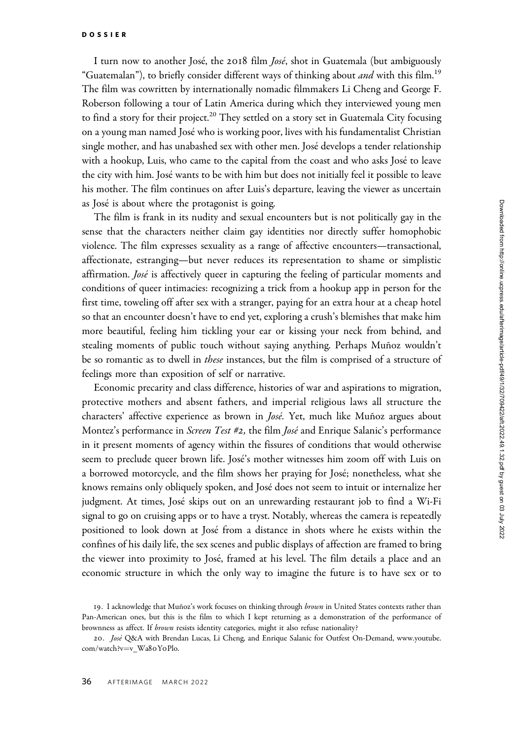I turn now to another José, the 2018 film *José*, shot in Guatemala (but ambiguously "Guatemalan"), to briefly consider different ways of thinking about *and* with this film.<sup>19</sup> The film was cowritten by internationally nomadic filmmakers Li Cheng and George F. Roberson following a tour of Latin America during which they interviewed young men to find a story for their project.<sup>20</sup> They settled on a story set in Guatemala City focusing on a young man named José who is working poor, lives with his fundamentalist Christian single mother, and has unabashed sex with other men. Jose´ develops a tender relationship with a hookup, Luis, who came to the capital from the coast and who asks José to leave the city with him. José wants to be with him but does not initially feel it possible to leave his mother. The film continues on after Luis's departure, leaving the viewer as uncertain as José is about where the protagonist is going.

The film is frank in its nudity and sexual encounters but is not politically gay in the sense that the characters neither claim gay identities nor directly suffer homophobic violence. The film expresses sexuality as a range of affective encounters—transactional, affectionate, estranging—but never reduces its representation to shame or simplistic affirmation. *José* is affectively queer in capturing the feeling of particular moments and conditions of queer intimacies: recognizing a trick from a hookup app in person for the first time, toweling off after sex with a stranger, paying for an extra hour at a cheap hotel so that an encounter doesn't have to end yet, exploring a crush's blemishes that make him more beautiful, feeling him tickling your ear or kissing your neck from behind, and stealing moments of public touch without saying anything. Perhaps Muñoz wouldn't be so romantic as to dwell in *these* instances, but the film is comprised of a structure of feelings more than exposition of self or narrative.

Economic precarity and class difference, histories of war and aspirations to migration, protective mothers and absent fathers, and imperial religious laws all structure the characters' affective experience as brown in *José*. Yet, much like Muñoz argues about Montez's performance in *Screen Test #2*, the film *José* and Enrique Salanic's performance in it present moments of agency within the fissures of conditions that would otherwise seem to preclude queer brown life. Jose´'s mother witnesses him zoom off with Luis on a borrowed motorcycle, and the film shows her praying for José; nonetheless, what she knows remains only obliquely spoken, and José does not seem to intuit or internalize her judgment. At times, José skips out on an unrewarding restaurant job to find a Wi-Fi signal to go on cruising apps or to have a tryst. Notably, whereas the camera is repeatedly positioned to look down at Jose´ from a distance in shots where he exists within the confines of his daily life, the sex scenes and public displays of affection are framed to bring the viewer into proximity to José, framed at his level. The film details a place and an economic structure in which the only way to imagine the future is to have sex or to

<sup>19.</sup> I acknowledge that Muñoz's work focuses on thinking through brown in United States contexts rather than Pan-American ones, but this is the film to which I kept returning as a demonstration of the performance of brownness as affect. If brown resists identity categories, might it also refuse nationality?

<sup>20.</sup> José Q&A with Brendan Lucas, Li Cheng, and Enrique Salanic for Outfest On-Demand, [www.youtube.](www.youtube.com/watch?v=v_Wa80Y0Plo) [com/watch?v](www.youtube.com/watch?v=v_Wa80Y0Plo)=[v\\_Wa](www.youtube.com/watch?v=v_Wa80Y0Plo)80YoPlo.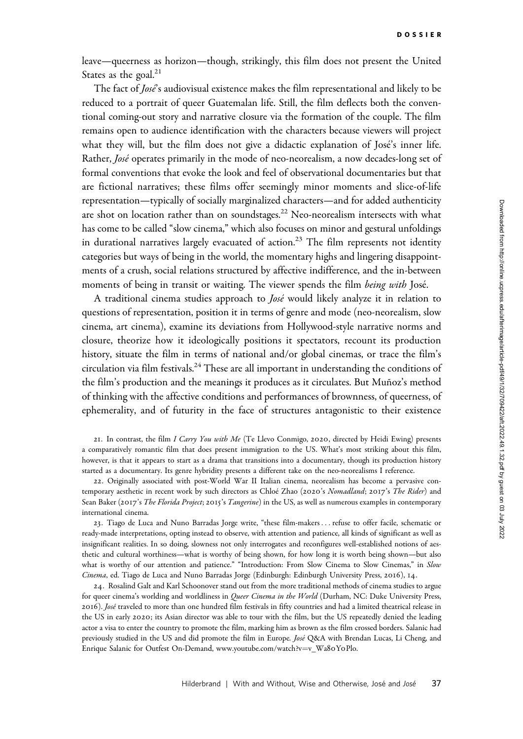leave—queerness as horizon—though, strikingly, this film does not present the United States as the goal.<sup>21</sup>

The fact of *Jose*'s audiovisual existence makes the film representational and likely to be reduced to a portrait of queer Guatemalan life. Still, the film deflects both the conventional coming-out story and narrative closure via the formation of the couple. The film remains open to audience identification with the characters because viewers will project what they will, but the film does not give a didactic explanation of José's inner life. Rather, José operates primarily in the mode of neo-neorealism, a now decades-long set of formal conventions that evoke the look and feel of observational documentaries but that are fictional narratives; these films offer seemingly minor moments and slice-of-life representation—typically of socially marginalized characters—and for added authenticity are shot on location rather than on soundstages.<sup>22</sup> Neo-neorealism intersects with what has come to be called "slow cinema," which also focuses on minor and gestural unfoldings in durational narratives largely evacuated of action.<sup>23</sup> The film represents not identity categories but ways of being in the world, the momentary highs and lingering disappointments of a crush, social relations structured by affective indifference, and the in-between moments of being in transit or waiting. The viewer spends the film *being with* José.

A traditional cinema studies approach to *José* would likely analyze it in relation to questions of representation, position it in terms of genre and mode (neo-neorealism, slow cinema, art cinema), examine its deviations from Hollywood-style narrative norms and closure, theorize how it ideologically positions it spectators, recount its production history, situate the film in terms of national and/or global cinemas, or trace the film's circulation via film festivals.<sup>24</sup> These are all important in understanding the conditions of the film's production and the meanings it produces as it circulates. But Muñoz's method of thinking with the affective conditions and performances of brownness, of queerness, of ephemerality, and of futurity in the face of structures antagonistic to their existence

21. In contrast, the film I Carry You with Me (Te Llevo Conmigo, 2020, directed by Heidi Ewing) presents a comparatively romantic film that does present immigration to the US. What's most striking about this film, however, is that it appears to start as a drama that transitions into a documentary, though its production history started as a documentary. Its genre hybridity presents a different take on the neo-neorealisms I reference.

22. Originally associated with post-World War II Italian cinema, neorealism has become a pervasive contemporary aesthetic in recent work by such directors as Chloé Zhao (2020's Nomadland; 2017's The Rider) and Sean Baker (2017's The Florida Project; 2015's Tangerine) in the US, as well as numerous examples in contemporary international cinema.

23. Tiago de Luca and Nuno Barradas Jorge write, "these film-makers ... refuse to offer facile, schematic or ready-made interpretations, opting instead to observe, with attention and patience, all kinds of significant as well as insignificant realities. In so doing, slowness not only interrogates and reconfigures well-established notions of aesthetic and cultural worthiness—what is worthy of being shown, for how long it is worth being shown—but also what is worthy of our attention and patience." "Introduction: From Slow Cinema to Slow Cinemas," in Slow Cinema, ed. Tiago de Luca and Nuno Barradas Jorge (Edinburgh: Edinburgh University Press, 2016), 14.

24. Rosalind Galt and Karl Schoonover stand out from the more traditional methods of cinema studies to argue for queer cinema's worlding and worldliness in *Queer Cinema in the World* (Durham, NC: Duke University Press, 2016). José traveled to more than one hundred film festivals in fifty countries and had a limited theatrical release in the US in early 2020; its Asian director was able to tour with the film, but the US repeatedly denied the leading actor a visa to enter the country to promote the film, marking him as brown as the film crossed borders. Salanic had previously studied in the US and did promote the film in Europe. José Q&A with Brendan Lucas, Li Cheng, and Enrique Salanic for Outfest On-Demand, [www.youtube.com/watch?v](www.youtube.com/watch?v=v_Wa80Y0Plo)=[v\\_Wa](www.youtube.com/watch?v=v_Wa80Y0Plo)8oYoPlo.